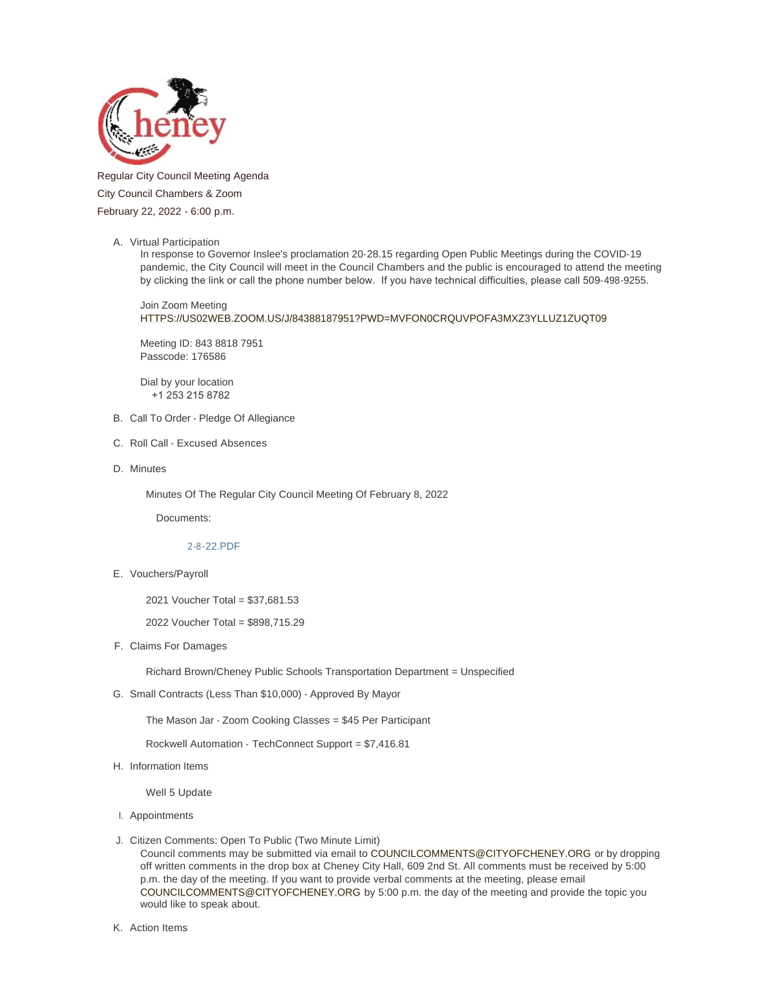

# Regular City Council Meeting Agenda City Council Chambers & Zoom February 22, 2022 - 6:00 p.m.

A. Virtual Participation

In response to Governor Inslee's proclamation 20-28.15 regarding Open Public Meetings during the COVID-19 pandemic, the City Council will meet in the Council Chambers and the public is encouraged to attend the meeting by clicking the link or call the phone number below. If you have technical difficulties, please call 509-498-9255.

Join Zoom Meeting [HTTPS://US02WEB.ZOOM.US/J/84388187951?PWD=MVFON0CRQUVPOFA3MXZ3YLLUZ1ZUQT09](https://us02web.zoom.us/j/84388187951?pwd=MVFoN0crQUVPOFA3MXZ3YlluZ1ZUQT09)

Meeting ID: 843 8818 7951 Passcode: 176586

Dial by your location +1 253 215 8782

- B. Call To Order Pledge Of Allegiance
- C. Roll Call Excused Absences
- D. Minutes

Minutes Of The Regular City Council Meeting Of February 8, 2022

Documents:

## [2-8-22.PDF](https://www.cityofcheney.org/AgendaCenter/ViewFile/Item/3770?fileID=8377)

E. Vouchers/Payroll

2021 Voucher Total = \$37,681.53

2022 Voucher Total = \$898,715.29

F. Claims For Damages

Richard Brown/Cheney Public Schools Transportation Department = Unspecified

G. Small Contracts (Less Than \$10,000) - Approved By Mayor

The Mason Jar - Zoom Cooking Classes = \$45 Per Participant

Rockwell Automation - TechConnect Support = \$7,416.81

H. Information Items

Well 5 Update

- Appointments I.
- J. Citizen Comments: Open To Public (Two Minute Limit)

Council comments may be submitted via email to [COUNCILCOMMENTS@CITYOFCHENEY.ORG](mailto:councilcomments@cityofcheney.org) or by dropping off written comments in the drop box at Cheney City Hall, 609 2nd St. All comments must be received by 5:00 [p.m. the day of the meeting. If you want to provid](mailto:councilcomments@cityofcheney.org)e verbal comments at the meeting, please email COUNCILCOMMENTS@CITYOFCHENEY.ORG by 5:00 p.m. the day of the meeting and provide the topic you would like to speak about.

K. Action Items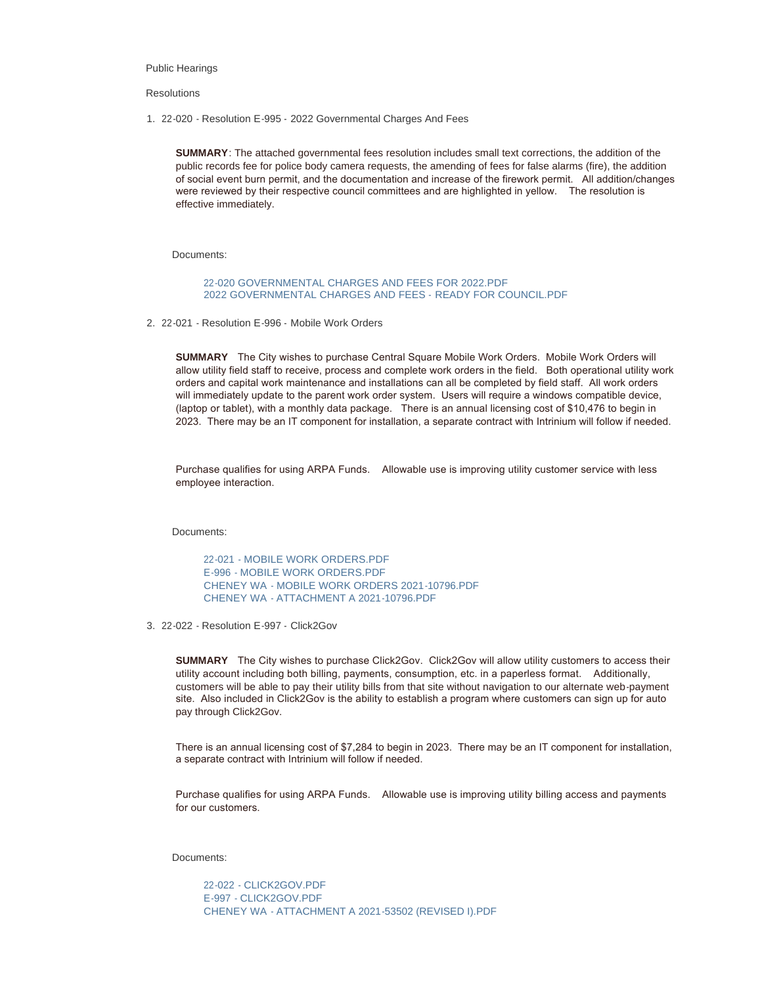#### Public Hearings

#### **Resolutions**

22-020 - Resolution E-995 - 2022 Governmental Charges And Fees 1.

**SUMMARY**: The attached governmental fees resolution includes small text corrections, the addition of the public records fee for police body camera requests, the amending of fees for false alarms (fire), the addition of social event burn permit, and the documentation and increase of the firework permit. All addition/changes were reviewed by their respective council committees and are highlighted in yellow. The resolution is effective immediately.

Documents:

[22-020 GOVERNMENTAL CHARGES AND FEES FOR 2022.PDF](https://www.cityofcheney.org/AgendaCenter/ViewFile/Item/3743?fileID=8356) [2022 GOVERNMENTAL CHARGES AND FEES - READY FOR COUNCIL.PDF](https://www.cityofcheney.org/AgendaCenter/ViewFile/Item/3743?fileID=8357)

2. 22-021 - Resolution E-996 - Mobile Work Orders

**SUMMARY** The City wishes to purchase Central Square Mobile Work Orders. Mobile Work Orders will allow utility field staff to receive, process and complete work orders in the field. Both operational utility work orders and capital work maintenance and installations can all be completed by field staff. All work orders will immediately update to the parent work order system. Users will require a windows compatible device, (laptop or tablet), with a monthly data package. There is an annual licensing cost of \$10,476 to begin in 2023. There may be an IT component for installation, a separate contract with Intrinium will follow if needed.

Purchase qualifies for using ARPA Funds. Allowable use is improving utility customer service with less employee interaction.

Documents:

[22-021 - MOBILE WORK ORDERS.PDF](https://www.cityofcheney.org/AgendaCenter/ViewFile/Item/3741?fileID=8349) [E-996 - MOBILE WORK ORDERS.PDF](https://www.cityofcheney.org/AgendaCenter/ViewFile/Item/3741?fileID=8350) [CHENEY WA - MOBILE WORK ORDERS 2021-10796.PDF](https://www.cityofcheney.org/AgendaCenter/ViewFile/Item/3741?fileID=8351) [CHENEY WA - ATTACHMENT A 2021-10796.PDF](https://www.cityofcheney.org/AgendaCenter/ViewFile/Item/3741?fileID=8352)

22-022 - Resolution E-997 - Click2Gov 3.

**SUMMARY** The City wishes to purchase Click2Gov. Click2Gov will allow utility customers to access their utility account including both billing, payments, consumption, etc. in a paperless format. Additionally, customers will be able to pay their utility bills from that site without navigation to our alternate web-payment site. Also included in Click2Gov is the ability to establish a program where customers can sign up for auto pay through Click2Gov.

There is an annual licensing cost of \$7,284 to begin in 2023. There may be an IT component for installation, a separate contract with Intrinium will follow if needed.

Purchase qualifies for using ARPA Funds. Allowable use is improving utility billing access and payments for our customers.

Documents:

[22-022 - CLICK2GOV.PDF](https://www.cityofcheney.org/AgendaCenter/ViewFile/Item/3742?fileID=8353) [E-997 - CLICK2GOV.PDF](https://www.cityofcheney.org/AgendaCenter/ViewFile/Item/3742?fileID=8354) [CHENEY WA - ATTACHMENT A 2021-53502 \(REVISED I\).PDF](https://www.cityofcheney.org/AgendaCenter/ViewFile/Item/3742?fileID=8355)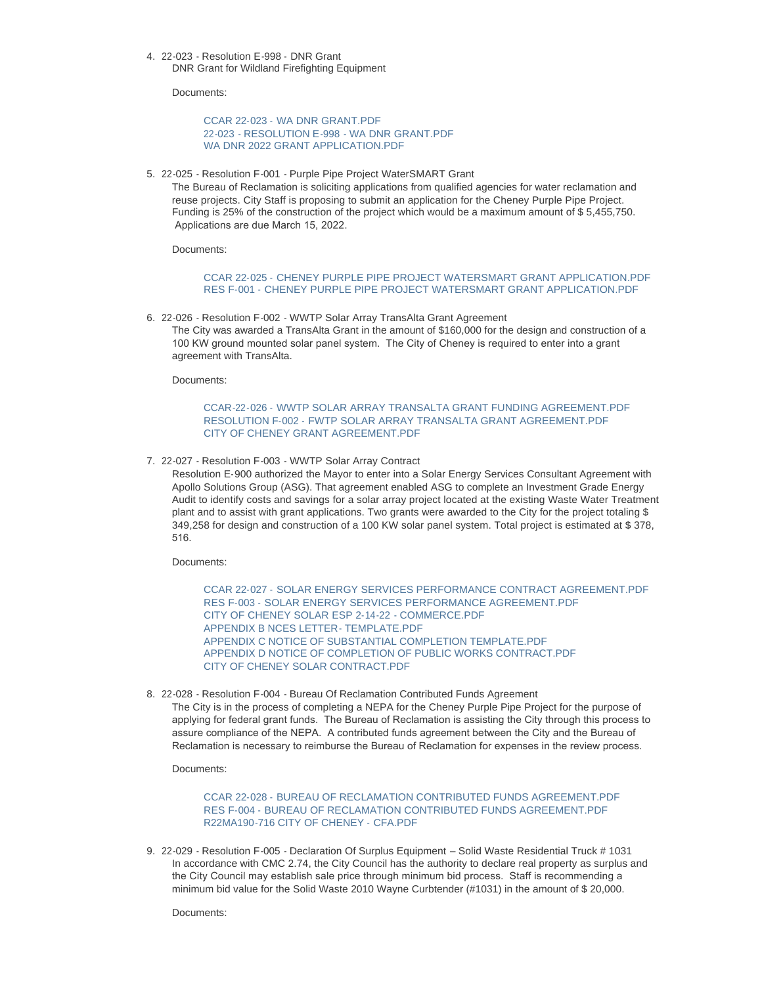22-023 - Resolution E-998 - DNR Grant 4. DNR Grant for Wildland Firefighting Equipment

Documents:

CCAR 22-023 - WA DNR GRANT PDF 22-023 - RESOLUTION E-998 - WA DNR GRANT PDE [WA DNR 2022 GRANT APPLICATION.PDF](https://www.cityofcheney.org/AgendaCenter/ViewFile/Item/3740?fileID=8388)

5. 22-025 - Resolution F-001 - Purple Pipe Project WaterSMART Grant

The Bureau of Reclamation is soliciting applications from qualified agencies for water reclamation and reuse projects. City Staff is proposing to submit an application for the Cheney Purple Pipe Project. Funding is 25% of the construction of the project which would be a maximum amount of \$ 5,455,750. Applications are due March 15, 2022.

Documents:

[CCAR 22-025 - CHENEY PURPLE PIPE PROJECT WATERSMART GRANT A](https://www.cityofcheney.org/AgendaCenter/ViewFile/Item/3767?fileID=8363)PPLICATION.PDF [RES F-001 - CHENEY PURPLE PIPE PROJECT WATERSMART GRANT A](https://www.cityofcheney.org/AgendaCenter/ViewFile/Item/3767?fileID=8364)PPLICATION.PDF

22-026 - Resolution F-002 - WWTP Solar Array TransAlta Grant Agreement 6.

The City was awarded a TransAlta Grant in the amount of \$160,000 for the design and construction of a 100 KW ground mounted solar panel system. The City of Cheney is required to enter into a grant agreement with TransAlta.

Documents:

## [CCAR-22-026 - WWTP SOLAR ARRAY TRANSALTA GRANT FUNDING](https://www.cityofcheney.org/AgendaCenter/ViewFile/Item/3769?fileID=8372) AGREEMENT.PDF RESOLUTION F-002 - FWTP SOLAR ARRAY TRANSALTA GRANT AGREEMENT PDF [CITY OF CHENEY GRANT AGREEMENT.PDF](https://www.cityofcheney.org/AgendaCenter/ViewFile/Item/3769?fileID=8374)

7. 22-027 - Resolution F-003 - WWTP Solar Array Contract

Resolution E-900 authorized the Mayor to enter into a Solar Energy Services Consultant Agreement with Apollo Solutions Group (ASG). That agreement enabled ASG to complete an Investment Grade Energy Audit to identify costs and savings for a solar array project located at the existing Waste Water Treatment plant and to assist with grant applications. Two grants were awarded to the City for the project totaling \$ 349,258 for design and construction of a 100 KW solar panel system. Total project is estimated at \$ 378, 516.

Documents:

[CCAR 22-027 - SOLAR ENERGY SERVICES PERFORMANCE CONTRACT A](https://www.cityofcheney.org/AgendaCenter/ViewFile/Item/3768?fileID=8365)GREEMENT PDF [RES F-003 - SOLAR ENERGY SERVICES PERFORMANCE AGREEMENT.PDF](https://www.cityofcheney.org/AgendaCenter/ViewFile/Item/3768?fileID=8366) [CITY OF CHENEY SOLAR ESP 2-14-22 - COMMERCE.PDF](https://www.cityofcheney.org/AgendaCenter/ViewFile/Item/3768?fileID=8367) [APPENDIX B NCES LETTER- TEMPLATE.PDF](https://www.cityofcheney.org/AgendaCenter/ViewFile/Item/3768?fileID=8368) [APPENDIX C NOTICE OF SUBSTANTIAL COMPLETION TEMPLATE.PDF](https://www.cityofcheney.org/AgendaCenter/ViewFile/Item/3768?fileID=8369) [APPENDIX D NOTICE OF COMPLETION OF PUBLIC WORKS CONTRACT.PDF](https://www.cityofcheney.org/AgendaCenter/ViewFile/Item/3768?fileID=8370) [CITY OF CHENEY SOLAR CONTRACT.PDF](https://www.cityofcheney.org/AgendaCenter/ViewFile/Item/3768?fileID=8371)

22-028 - Resolution F-004 - Bureau Of Reclamation Contributed Funds Agreement 8. The City is in the process of completing a NEPA for the Cheney Purple Pipe Project for the purpose of applying for federal grant funds. The Bureau of Reclamation is assisting the City through this process to assure compliance of the NEPA. A contributed funds agreement between the City and the Bureau of Reclamation is necessary to reimburse the Bureau of Reclamation for expenses in the review process.

Documents:

[CCAR 22-028 - BUREAU OF RECLAMATION CONTRIBUTED FUNDS](https://www.cityofcheney.org/AgendaCenter/ViewFile/Item/3772?fileID=8381) AGREEMENT.PDF [RES F-004 - BUREAU OF RECLAMATION CONTRIBUTED FUNDS AGREEMENT.PDF](https://www.cityofcheney.org/AgendaCenter/ViewFile/Item/3772?fileID=8382) [R22MA190-716 CITY OF CHENEY -](https://www.cityofcheney.org/AgendaCenter/ViewFile/Item/3772?fileID=8383) CFA.PDF

22-029 - Resolution F-005 - Declaration Of Surplus Equipment – Solid Waste Residential Truck # 1031 9. In accordance with CMC 2.74, the City Council has the authority to declare real property as surplus and the City Council may establish sale price through minimum bid process. Staff is recommending a minimum bid value for the Solid Waste 2010 Wayne Curbtender (#1031) in the amount of \$ 20,000.

Documents: